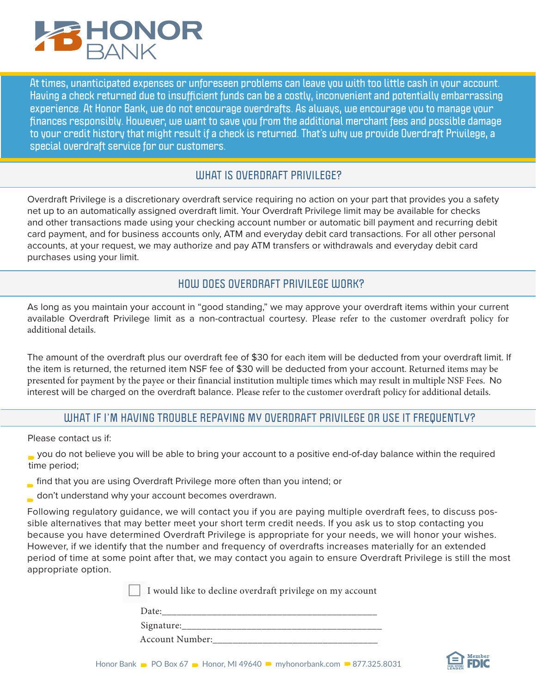

**At times, unanticipated expenses or unforeseen problems can leave you with too little cash in your account. Having a check returned due to insufficient funds can be a costly, inconvenient and potentially embarrassing experience. At Honor Bank, we do not encourage overdrafts. As always, we encourage you to manage your finances responsibly. However, we want to save you from the additional merchant fees and possible damage to your credit history that might result if a check is returned. That's why we provide Overdraft Privilege, a special overdraft service for our customers.**

#### **WHAT IS OVERDRAFT PRIVILEGE?**

Overdraft Privilege is a discretionary overdraft service requiring no action on your part that provides you a safety net up to an automatically assigned overdraft limit. Your Overdraft Privilege limit may be available for checks and other transactions made using your checking account number or automatic bill payment and recurring debit card payment, and for business accounts only, ATM and everyday debit card transactions. For all other personal accounts, at your request, we may authorize and pay ATM transfers or withdrawals and everyday debit card purchases using your limit.

## **HOW DOES OVERDRAFT PRIVILEGE WORK?**

As long as you maintain your account in "good standing," we may approve your overdraft items within your current available Overdraft Privilege limit as a non-contractual courtesy. Please refer to the customer overdraft policy for additional details.

The amount of the overdraft plus our overdraft fee of \$30 for each item will be deducted from your overdraft limit. If the item is returned, the returned item NSF fee of \$30 will be deducted from your account. Returned items may be presented for payment by the payee or their financial institution multiple times which may result in multiple NSF Fees. No interest will be charged on the overdraft balance. Please refer to the customer overdraft policy for additional details.

## **WHAT IF I'M HAVING TROUBLE REPAYING MY OVERDRAFT PRIVILEGE OR USE IT FREQUENTLY?**

Please contact us if:

 you do not believe you will be able to bring your account to a positive end-of-day balance within the required time period;

- find that you are using Overdraft Privilege more often than you intend; or
- don't understand why your account becomes overdrawn.

Following regulatory guidance, we will contact you if you are paying multiple overdraft fees, to discuss possible alternatives that may better meet your short term credit needs. If you ask us to stop contacting you because you have determined Overdraft Privilege is appropriate for your needs, we will honor your wishes. However, if we identify that the number and frequency of overdrafts increases materially for an extended period of time at some point after that, we may contact you again to ensure Overdraft Privilege is still the most appropriate option.

I would like to decline overdraft privilege on my account

| Date: |             |        |        |
|-------|-------------|--------|--------|
|       | ___________ | ______ | ______ |
|       |             |        |        |

Signature:

Account Number: